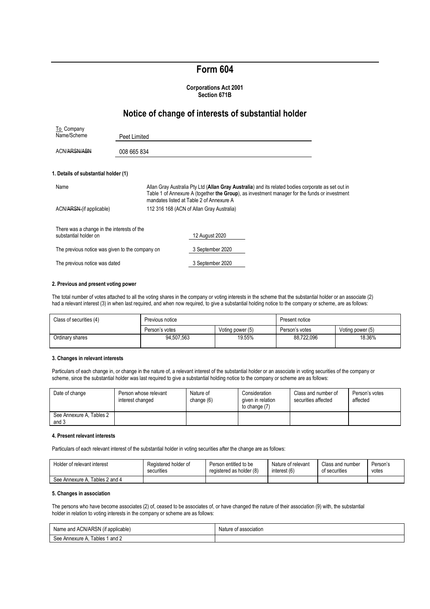# **Form 604**

### **Corporations Act 2001 Section 671B**

# **Notice of change of interests of substantial holder**

| To Company<br>Name/Scheme                                           | Peet Limited |                                                                                                                                                                                                                                                 |
|---------------------------------------------------------------------|--------------|-------------------------------------------------------------------------------------------------------------------------------------------------------------------------------------------------------------------------------------------------|
| <b>ACN/ARSN/ABN</b>                                                 | 008 665 834  |                                                                                                                                                                                                                                                 |
| 1. Details of substantial holder (1)                                |              |                                                                                                                                                                                                                                                 |
| Name                                                                |              | Allan Gray Australia Pty Ltd (Allan Gray Australia) and its related bodies corporate as set out in<br>Table 1 of Annexure A (together the Group), as investment manager for the funds or investment<br>mandates listed at Table 2 of Annexure A |
| ACN/ARSN-(if applicable)                                            |              | 112 316 168 (ACN of Allan Gray Australia)                                                                                                                                                                                                       |
| There was a change in the interests of the<br>substantial holder on |              | 12 August 2020                                                                                                                                                                                                                                  |
| The previous notice was given to the company on                     |              | 3 September 2020                                                                                                                                                                                                                                |
| The previous notice was dated                                       |              | 3 September 2020                                                                                                                                                                                                                                |

### **2. Previous and present voting power**

The total number of votes attached to all the voting shares in the company or voting interests in the scheme that the substantial holder or an associate (2) had a relevant interest (3) in when last required, and when now required, to give a substantial holding notice to the company or scheme, are as follows:

| Class of securities (4) | Previous notice |                  | Present notice |                  |
|-------------------------|-----------------|------------------|----------------|------------------|
|                         | Person's votes  | Voting power (5) | Person's votes | Voting power (5) |
| Ordinary shares         | 94.507.563      | 19.55%           | 88,722,096     | 18.36%           |

#### **3. Changes in relevant interests**

Particulars of each change in, or change in the nature of, a relevant interest of the substantial holder or an associate in voting securities of the company or scheme, since the substantial holder was last required to give a substantial holding notice to the company or scheme are as follows:

| Date of change                    | Person whose relevant<br>interest changed | Nature of<br>change (6) | Consideration<br>given in relation<br>to change (7) | Class and number of<br>securities affected | Person's votes<br>affected |
|-----------------------------------|-------------------------------------------|-------------------------|-----------------------------------------------------|--------------------------------------------|----------------------------|
| See Annexure A, Tables 2<br>and 3 |                                           |                         |                                                     |                                            |                            |

#### **4. Present relevant interests**

Particulars of each relevant interest of the substantial holder in voting securities after the change are as follows:

| Holder of relevant interest       | Registered holder of | Person entitled to be    | Nature of relevant | Class and number | Person's |
|-----------------------------------|----------------------|--------------------------|--------------------|------------------|----------|
|                                   | securities           | registered as holder (8) | interest (6)       | of securities    | votes    |
| Tables 2 and 4<br>See Annexure A. |                      |                          |                    |                  |          |

#### **5. Changes in association**

The persons who have become associates (2) of, ceased to be associates of, or have changed the nature of their association (9) with, the substantial holder in relation to voting interests in the company or scheme are as follows:

| Name and ACN/ARSN (if applicable) | Nature of association |
|-----------------------------------|-----------------------|
| See Annexure A. Tables 1 and 2    |                       |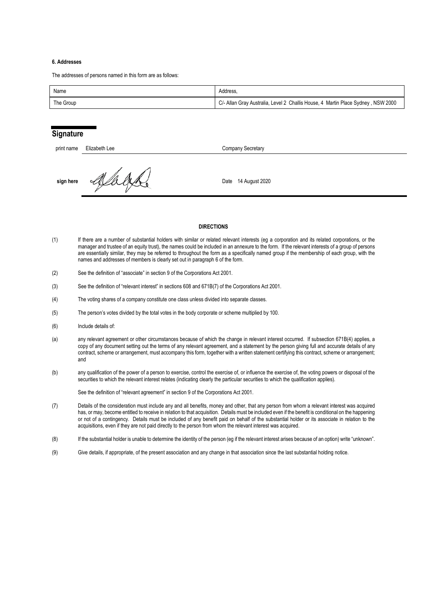### **6. Addresses**

The addresses of persons named in this form are as follows:

| Name      | Address.                                                                         |
|-----------|----------------------------------------------------------------------------------|
| The Group | C/- Allan Gray Australia, Level 2 Challis House, 4 Martin Place Sydney, NSW 2000 |

### **Signature**

| print name | Elizabeth Lee | Company Secretary      |  |
|------------|---------------|------------------------|--|
| sign here  |               | 14 August 2020<br>Date |  |

### **DIRECTIONS**

- (1) If there are a number of substantial holders with similar or related relevant interests (eg a corporation and its related corporations, or the manager and trustee of an equity trust), the names could be included in an annexure to the form. If the relevant interests of a group of persons are essentially similar, they may be referred to throughout the form as a specifically named group if the membership of each group, with the names and addresses of members is clearly set out in paragraph 6 of the form.
- (2) See the definition of "associate" in section 9 of the Corporations Act 2001.
- (3) See the definition of "relevant interest" in sections 608 and 671B(7) of the Corporations Act 2001.
- (4) The voting shares of a company constitute one class unless divided into separate classes.
- (5) The person's votes divided by the total votes in the body corporate or scheme multiplied by 100.
- (6) Include details of:
- (a) any relevant agreement or other circumstances because of which the change in relevant interest occurred. If subsection 671B(4) applies, a copy of any document setting out the terms of any relevant agreement, and a statement by the person giving full and accurate details of any contract, scheme or arrangement, must accompany this form, together with a written statement certifying this contract, scheme or arrangement; and
- (b) any qualification of the power of a person to exercise, control the exercise of, or influence the exercise of, the voting powers or disposal of the securities to which the relevant interest relates (indicating clearly the particular securities to which the qualification applies).

See the definition of "relevant agreement" in section 9 of the Corporations Act 2001.

- (7) Details of the consideration must include any and all benefits, money and other, that any person from whom a relevant interest was acquired has, or may, become entitled to receive in relation to that acquisition. Details must be included even if the benefit is conditional on the happening or not of a contingency. Details must be included of any benefit paid on behalf of the substantial holder or its associate in relation to the acquisitions, even if they are not paid directly to the person from whom the relevant interest was acquired.
- (8) If the substantial holder is unable to determine the identity of the person (eg if the relevant interest arises because of an option) write "unknown".
- (9) Give details, if appropriate, of the present association and any change in that association since the last substantial holding notice.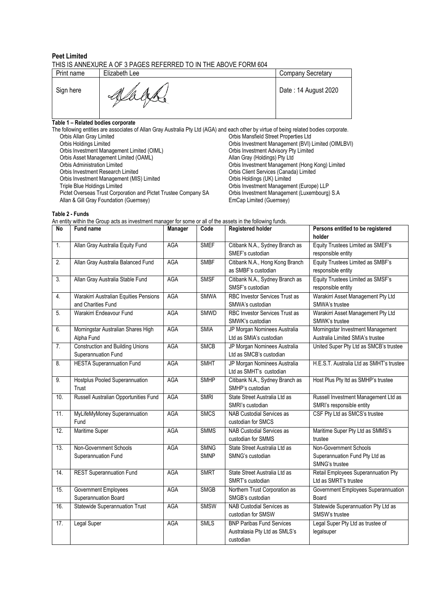### **Peet Limited**

# THIS IS ANNEXURE A OF 3 PAGES REFERRED TO IN THE ABOVE FORM 604

| Print name | Elizabeth Lee | <b>Company Secretary</b> |
|------------|---------------|--------------------------|
| Sign here  | K.            | Date: 14 August 2020     |

### **Table 1 – Related bodies corporate**

| The following entities are associates of Allan Gray Australia Pty Ltd (AGA) and each other by virtue of being related bodies corporate. |                                                     |
|-----------------------------------------------------------------------------------------------------------------------------------------|-----------------------------------------------------|
| Orbis Allan Gray Limited                                                                                                                | Orbis Mansfield Street Properties Ltd               |
| Orbis Holdings Limited                                                                                                                  | Orbis Investment Management (BVI) Limited (OIMLBVI) |
| Orbis Investment Management Limited (OIML)                                                                                              | Orbis Investment Advisory Pty Limited               |
| Orbis Asset Management Limited (OAML)                                                                                                   | Allan Gray (Holdings) Pty Ltd                       |
| Orbis Administration Limited                                                                                                            | Orbis Investment Management (Hong Kong) Limited     |
| Orbis Investment Research Limited                                                                                                       | Orbis Client Services (Canada) Limited              |
| Orbis Investment Management (MIS) Limited                                                                                               | Orbis Holdings (UK) Limited                         |
| Triple Blue Holdings Limited                                                                                                            | Orbis Investment Management (Europe) LLP            |
| Pictet Overseas Trust Corporation and Pictet Trustee Company SA                                                                         | Orbis Investment Management (Luxembourg) S.A.       |
| Allan & Gill Gray Foundation (Guernsey)                                                                                                 | EmCap Limited (Guernsey)                            |
|                                                                                                                                         |                                                     |

### **Table 2 - Funds**

|  | No Eundname                                                                                                 |  | Manager Code Degistered bolder |
|--|-------------------------------------------------------------------------------------------------------------|--|--------------------------------|
|  | An entity within the Group acts as investment manager for some or all of the assets in the following funds. |  |                                |
|  | Table 2 - Funds                                                                                             |  |                                |

| No  | <b>Fund name</b>                                               | Manager    | Code                       | Registered holder                                                              | Persons entitled to be registered<br>holder                                |
|-----|----------------------------------------------------------------|------------|----------------------------|--------------------------------------------------------------------------------|----------------------------------------------------------------------------|
| 1.  | Allan Gray Australia Equity Fund                               | <b>AGA</b> | <b>SMEF</b>                | Citibank N.A., Sydney Branch as<br>SMEF's custodian                            | Equity Trustees Limited as SMEF's<br>responsible entity                    |
| 2.  | Allan Gray Australia Balanced Fund                             | <b>AGA</b> | <b>SMBF</b>                | Citibank N.A., Hong Kong Branch<br>as SMBF's custodian                         | Equity Trustees Limited as SMBF's<br>responsible entity                    |
| 3.  | Allan Gray Australia Stable Fund                               | <b>AGA</b> | <b>SMSF</b>                | Citibank N.A., Sydney Branch as<br>SMSF's custodian                            | Equity Trustees Limited as SMSF's<br>responsible entity                    |
| 4.  | Warakirri Australian Equities Pensions<br>and Charities Fund   | <b>AGA</b> | <b>SMWA</b>                | RBC Investor Services Trust as<br>SMWA's custodian                             | Warakirri Asset Management Pty Ltd<br>SMWA's trustee                       |
| 5.  | Warakirri Endeavour Fund                                       | <b>AGA</b> | <b>SMWD</b>                | RBC Investor Services Trust as<br>SMWK's custodian                             | Warakirri Asset Management Pty Ltd<br>SMWK's trustee                       |
| 6.  | Morningstar Australian Shares High<br>Alpha Fund               | <b>AGA</b> | <b>SMIA</b>                | JP Morgan Nominees Australia<br>Ltd as SMIA's custodian                        | Morningstar Investment Management<br>Australia Limited SMIA's trustee      |
| 7.  | <b>Construction and Building Unions</b><br>Superannuation Fund | AGA        | <b>SMCB</b>                | JP Morgan Nominees Australia<br>Ltd as SMCB's custodian                        | United Super Pty Ltd as SMCB's trustee                                     |
| 8.  | <b>HESTA Superannuation Fund</b>                               | <b>AGA</b> | <b>SMHT</b>                | JP Morgan Nominees Australia<br>Ltd as SMHT's custodian                        | H.E.S.T. Australia Ltd as SMHT's trustee                                   |
| 9.  | Hostplus Pooled Superannuation<br>Trust                        | AGA        | <b>SMHP</b>                | Citibank N.A., Sydney Branch as<br>SMHP's custodian                            | Host Plus Pty Itd as SMHP's trustee                                        |
| 10. | Russell Australian Opportunities Fund                          | <b>AGA</b> | <b>SMRI</b>                | State Street Australia Ltd as<br>SMRI's custodian                              | Russell Investment Management Ltd as<br>SMRI's responsible entity          |
| 11. | MyLifeMyMoney Superannuation<br>Fund                           | <b>AGA</b> | <b>SMCS</b>                | NAB Custodial Services as<br>custodian for SMCS                                | CSF Pty Ltd as SMCS's trustee                                              |
| 12. | Maritime Super                                                 | <b>AGA</b> | <b>SMMS</b>                | <b>NAB Custodial Services as</b><br>custodian for SMMS                         | Maritime Super Pty Ltd as SMMS's<br>trustee                                |
| 13. | Non-Government Schools<br>Superannuation Fund                  | <b>AGA</b> | <b>SMNG</b><br><b>SMNP</b> | State Street Australia Ltd as<br>SMNG's custodian                              | Non-Government Schools<br>Superannuation Fund Pty Ltd as<br>SMNG's trustee |
| 14. | <b>REST Superannuation Fund</b>                                | <b>AGA</b> | <b>SMRT</b>                | State Street Australia Ltd as<br>SMRT's custodian                              | Retail Employees Superannuation Pty<br>Ltd as SMRT's trustee               |
| 15. | Government Employees<br>Superannuation Board                   | <b>AGA</b> | <b>SMGB</b>                | Northern Trust Corporation as<br>SMGB's custodian                              | Government Employees Superannuation<br>Board                               |
| 16. | <b>Statewide Superannuation Trust</b>                          | AGA        | <b>SMSW</b>                | <b>NAB Custodial Services as</b><br>custodian for SMSW                         | Statewide Superannuation Pty Ltd as<br>SMSW's trustee                      |
| 17. | Legal Super                                                    | <b>AGA</b> | <b>SMLS</b>                | <b>BNP Paribas Fund Services</b><br>Australasia Pty Ltd as SMLS's<br>custodian | Legal Super Pty Ltd as trustee of<br>legalsuper                            |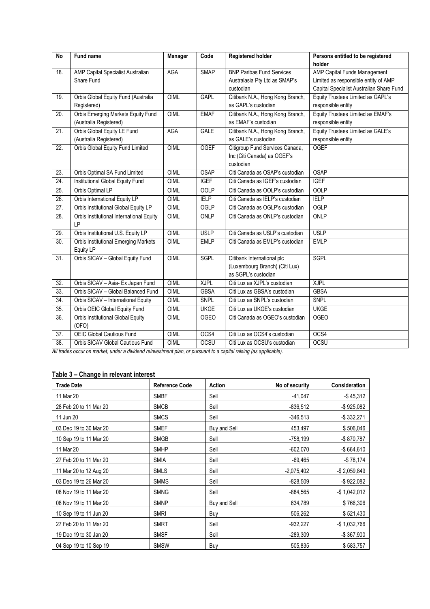| <b>No</b>         | Fund name                                   | Manager     | Code        | <b>Registered holder</b>         | Persons entitled to be registered        |
|-------------------|---------------------------------------------|-------------|-------------|----------------------------------|------------------------------------------|
|                   |                                             |             |             |                                  | holder                                   |
| 18.               | AMP Capital Specialist Australian           | <b>AGA</b>  | <b>SMAP</b> | <b>BNP Paribas Fund Services</b> | AMP Capital Funds Management             |
|                   | Share Fund                                  |             |             | Australasia Pty Ltd as SMAP's    | Limited as responsible entity of AMP     |
|                   |                                             |             |             | custodian                        | Capital Specialist Australian Share Fund |
| 19.               | Orbis Global Equity Fund (Australia         | OIML        | <b>GAPL</b> | Citibank N.A., Hong Kong Branch, | Equity Trustees Limited as GAPL's        |
|                   | Registered)                                 |             |             | as GAPL's custodian              | responsible entity                       |
| 20.               | Orbis Emerging Markets Equity Fund          | <b>OIML</b> | <b>EMAF</b> | Citibank N.A., Hong Kong Branch, | Equity Trustees Limited as EMAF's        |
|                   | (Australia Registered)                      |             |             | as EMAF's custodian              | responsible entity                       |
| 21.               | Orbis Global Equity LE Fund                 | <b>AGA</b>  | <b>GALE</b> | Citibank N.A., Hong Kong Branch, | Equity Trustees Limited as GALE's        |
|                   | (Australia Registered)                      |             |             | as GALE's custodian              | responsible entity                       |
| 22.               | Orbis Global Equity Fund Limited            | OIML        | <b>OGEF</b> | Citigroup Fund Services Canada,  | <b>OGEF</b>                              |
|                   |                                             |             |             | Inc (Citi Canada) as OGEF's      |                                          |
|                   |                                             |             |             | custodian                        |                                          |
| 23.               | Orbis Optimal SA Fund Limited               | <b>OIML</b> | <b>OSAP</b> | Citi Canada as OSAP's custodian  | <b>OSAP</b>                              |
| 24.               | <b>Institutional Global Equity Fund</b>     | <b>OIML</b> | <b>IGEF</b> | Citi Canada as IGEF's custodian  | <b>IGEF</b>                              |
| 25.               | Orbis Optimal LP                            | OIML        | <b>OOLP</b> | Citi Canada as OOLP's custodian  | <b>OOLP</b>                              |
| 26.               | Orbis International Equity LP               | OIML        | <b>IELP</b> | Citi Canada as IELP's custodian  | <b>IELP</b>                              |
| 27.               | Orbis Institutional Global Equity LP        | <b>OIML</b> | <b>OGLP</b> | Citi Canada as OGLP's custodian  | <b>OGLP</b>                              |
| 28.               | Orbis Institutional International Equity    | <b>OIML</b> | ONLP        | Citi Canada as ONLP's custodian  | ONLP                                     |
|                   | LP                                          |             |             |                                  |                                          |
| 29.               | Orbis Institutional U.S. Equity LP          | OIML        | <b>USLP</b> | Citi Canada as USLP's custodian  | <b>USLP</b>                              |
| 30.               | <b>Orbis Institutional Emerging Markets</b> | <b>OIML</b> | <b>EMLP</b> | Citi Canada as EMLP's custodian  | <b>EMLP</b>                              |
|                   | Equity LP                                   |             |             |                                  |                                          |
| 31.               | Orbis SICAV - Global Equity Fund            | OIML        | <b>SGPL</b> | Citibank International plc       | <b>SGPL</b>                              |
|                   |                                             |             |             | (Luxembourg Branch) (Citi Lux)   |                                          |
|                   |                                             |             |             | as SGPL's custodian              |                                          |
| 32.               | Orbis SICAV - Asia- Ex Japan Fund           | OIML        | <b>XJPL</b> | Citi Lux as XJPL's custodian     | <b>XJPL</b>                              |
| 33.               | Orbis SICAV - Global Balanced Fund          | <b>OIML</b> | <b>GBSA</b> | Citi Lux as GBSA's custodian     | <b>GBSA</b>                              |
| 34.               | Orbis SICAV - International Equity          | <b>OIML</b> | <b>SNPL</b> | Citi Lux as SNPL's custodian     | <b>SNPL</b>                              |
| $\overline{35}$ . | Orbis OEIC Global Equity Fund               | OIML        | <b>UKGE</b> | Citi Lux as UKGE's custodian     | <b>UKGE</b>                              |
| $\overline{36}$ . | Orbis Institutional Global Equity           | <b>OIML</b> | <b>OGEO</b> | Citi Canada as OGEO's custodian  | <b>OGEO</b>                              |
|                   | (OFO)                                       |             |             |                                  |                                          |
| 37.               | <b>OEIC Global Cautious Fund</b>            | OIML        | OCS4        | Citi Lux as OCS4's custodian     | OCS4                                     |
| 38.               | Orbis SICAV Global Cautious Fund            | OIML        | <b>OCSU</b> | Citi Lux as OCSU's custodian     | <b>OCSU</b>                              |

*All trades occur on market, under a dividend reinvestment plan, or pursuant to a capital raising (as applicable).*

# **Table 3 – Change in relevant interest**

| <b>Trade Date</b>      | <b>Reference Code</b> | Action       | No of security | Consideration    |
|------------------------|-----------------------|--------------|----------------|------------------|
| 11 Mar 20              | <b>SMBF</b>           | Sell         | $-41,047$      | $-$ \$45,312     |
| 28 Feb 20 to 11 Mar 20 | <b>SMCB</b>           | Sell         | $-836,512$     | $-$ \$925,082    |
| 11 Jun 20              | <b>SMCS</b>           | Sell         | $-346.513$     | -\$332,271       |
| 03 Dec 19 to 30 Mar 20 | <b>SMEF</b>           | Buy and Sell | 453,497        | \$506,046        |
| 10 Sep 19 to 11 Mar 20 | <b>SMGB</b>           | Sell         | $-758,199$     | -\$870,787       |
| 11 Mar 20              | <b>SMHP</b>           | Sell         | $-602,070$     | $-$664,610$      |
| 27 Feb 20 to 11 Mar 20 | <b>SMIA</b>           | Sell         | $-69,465$      | $-$78,174$       |
| 11 Mar 20 to 12 Aug 20 | <b>SMLS</b>           | Sell         | $-2,075,402$   | $-$ \$ 2,059,849 |
| 03 Dec 19 to 26 Mar 20 | <b>SMMS</b>           | Sell         | $-828,509$     | $-$ \$922,082    |
| 08 Nov 19 to 11 Mar 20 | <b>SMNG</b>           | Sell         | $-884,565$     | $-$ \$1,042,012  |
| 08 Nov 19 to 11 Mar 20 | <b>SMNP</b>           | Buy and Sell | 634,789        | \$766,306        |
| 10 Sep 19 to 11 Jun 20 | <b>SMRI</b>           | Buy          | 506,262        | \$521,430        |
| 27 Feb 20 to 11 Mar 20 | <b>SMRT</b>           | Sell         | $-932,227$     | $-$1,032,766$    |
| 19 Dec 19 to 30 Jan 20 | <b>SMSF</b>           | Sell         | $-289,309$     | -\$367,900       |
| 04 Sep 19 to 10 Sep 19 | <b>SMSW</b>           | Buy          | 505,835        | \$583,757        |